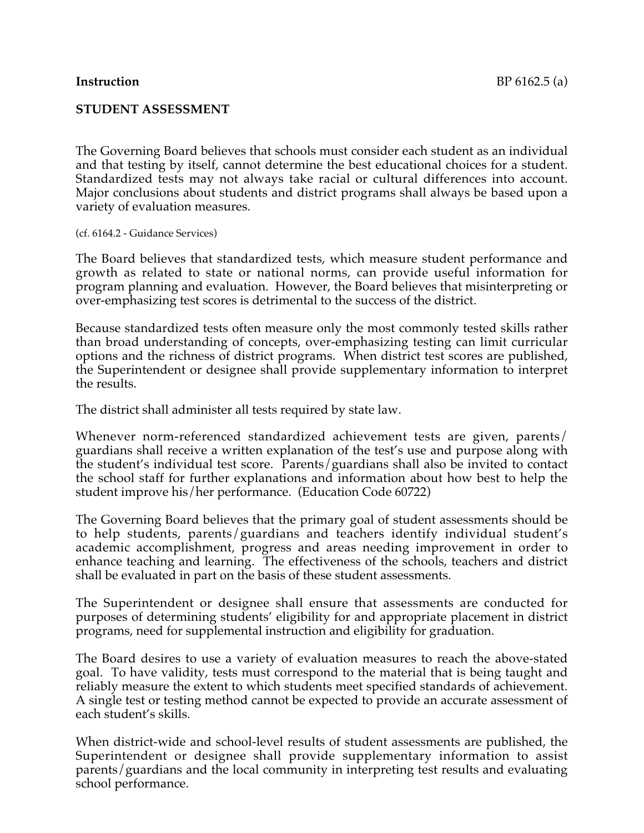#### **STUDENT ASSESSMENT**

The Governing Board believes that schools must consider each student as an individual and that testing by itself, cannot determine the best educational choices for a student. Standardized tests may not always take racial or cultural differences into account. Major conclusions about students and district programs shall always be based upon a variety of evaluation measures.

(cf. 6164.2 - Guidance Services)

The Board believes that standardized tests, which measure student performance and growth as related to state or national norms, can provide useful information for program planning and evaluation. However, the Board believes that misinterpreting or over-emphasizing test scores is detrimental to the success of the district.

Because standardized tests often measure only the most commonly tested skills rather than broad understanding of concepts, over-emphasizing testing can limit curricular options and the richness of district programs. When district test scores are published, the Superintendent or designee shall provide supplementary information to interpret the results.

The district shall administer all tests required by state law.

Whenever norm-referenced standardized achievement tests are given, parents/ guardians shall receive a written explanation of the test's use and purpose along with the student's individual test score. Parents/guardians shall also be invited to contact the school staff for further explanations and information about how best to help the student improve his/her performance. (Education Code 60722)

The Governing Board believes that the primary goal of student assessments should be to help students, parents/guardians and teachers identify individual student's academic accomplishment, progress and areas needing improvement in order to enhance teaching and learning. The effectiveness of the schools, teachers and district shall be evaluated in part on the basis of these student assessments.

The Superintendent or designee shall ensure that assessments are conducted for purposes of determining students' eligibility for and appropriate placement in district programs, need for supplemental instruction and eligibility for graduation.

The Board desires to use a variety of evaluation measures to reach the above-stated goal. To have validity, tests must correspond to the material that is being taught and reliably measure the extent to which students meet specified standards of achievement. A single test or testing method cannot be expected to provide an accurate assessment of each student's skills.

When district-wide and school-level results of student assessments are published, the Superintendent or designee shall provide supplementary information to assist parents/guardians and the local community in interpreting test results and evaluating school performance.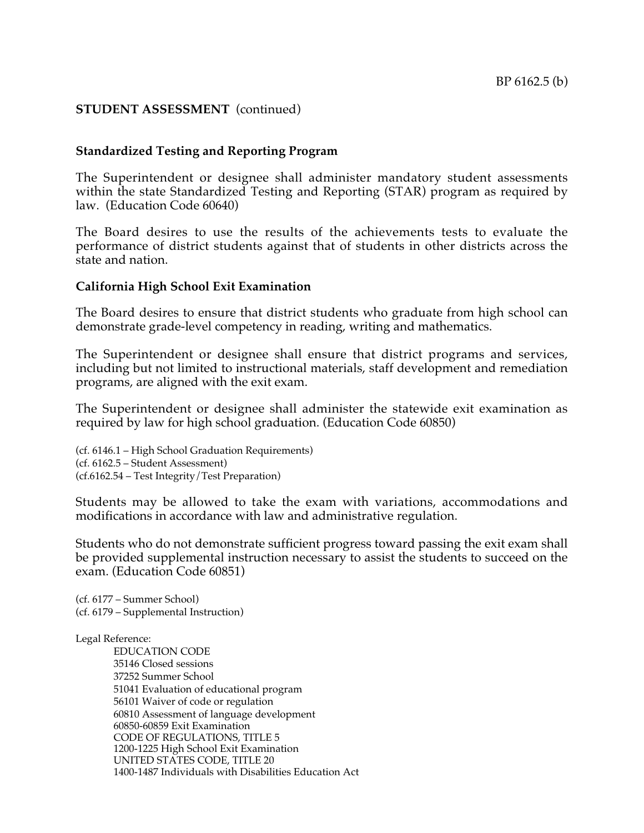#### **Standardized Testing and Reporting Program**

The Superintendent or designee shall administer mandatory student assessments within the state Standardized Testing and Reporting (STAR) program as required by law. (Education Code 60640)

The Board desires to use the results of the achievements tests to evaluate the performance of district students against that of students in other districts across the state and nation.

#### **California High School Exit Examination**

The Board desires to ensure that district students who graduate from high school can demonstrate grade-level competency in reading, writing and mathematics.

The Superintendent or designee shall ensure that district programs and services, including but not limited to instructional materials, staff development and remediation programs, are aligned with the exit exam.

The Superintendent or designee shall administer the statewide exit examination as required by law for high school graduation. (Education Code 60850)

(cf. 6146.1 – High School Graduation Requirements) (cf. 6162.5 – Student Assessment) (cf.6162.54 – Test Integrity/Test Preparation)

Students may be allowed to take the exam with variations, accommodations and modifications in accordance with law and administrative regulation.

Students who do not demonstrate sufficient progress toward passing the exit exam shall be provided supplemental instruction necessary to assist the students to succeed on the exam. (Education Code 60851)

(cf. 6177 – Summer School) (cf. 6179 – Supplemental Instruction)

#### Legal Reference:

EDUCATION CODE 35146 Closed sessions 37252 Summer School 51041 Evaluation of educational program 56101 Waiver of code or regulation 60810 Assessment of language development 60850-60859 Exit Examination CODE OF REGULATIONS, TITLE 5 1200-1225 High School Exit Examination UNITED STATES CODE, TITLE 20 1400-1487 Individuals with Disabilities Education Act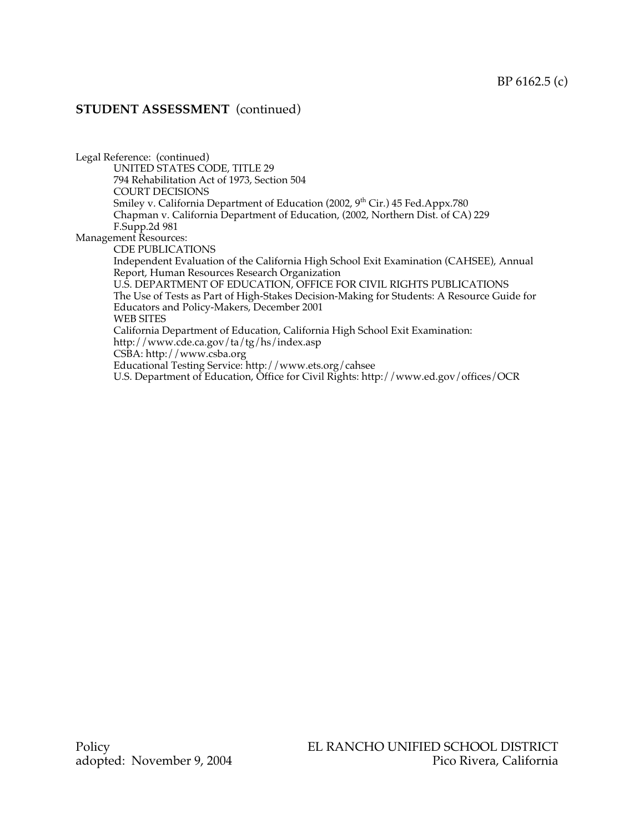Legal Reference: (continued) UNITED STATES CODE, TITLE 29 794 Rehabilitation Act of 1973, Section 504 COURT DECISIONS Smiley v. California Department of Education (2002, 9<sup>th</sup> Cir.) 45 Fed.Appx.780 Chapman v. California Department of Education, (2002, Northern Dist. of CA) 229 F.Supp.2d 981 Management Resources: CDE PUBLICATIONS Independent Evaluation of the California High School Exit Examination (CAHSEE), Annual Report, Human Resources Research Organization U.S. DEPARTMENT OF EDUCATION, OFFICE FOR CIVIL RIGHTS PUBLICATIONS The Use of Tests as Part of High-Stakes Decision-Making for Students: A Resource Guide for Educators and Policy-Makers, December 2001 WEB SITES California Department of Education, California High School Exit Examination: http://www.cde.ca.gov/ta/tg/hs/index.asp CSBA: http://www.csba.org Educational Testing Service: http://www.ets.org/cahsee U.S. Department of Education, Office for Civil Rights: http://www.ed.gov/offices/OCR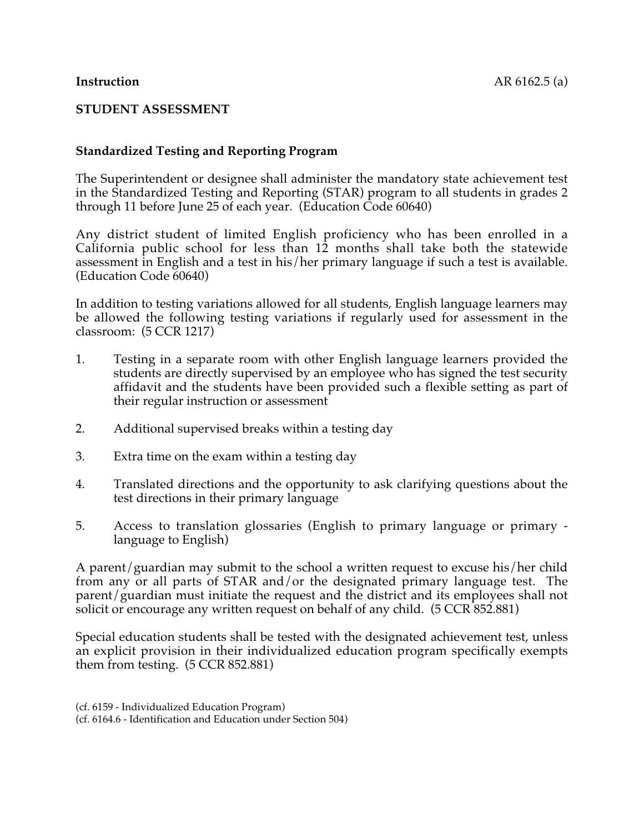# **Standardized Testing and Reporting Program**

The Superintendent or designee shall administer the mandatory state achievement test in the Standardized Testing and Reporting (STAR) program to all students in grades 2 through 11 before June 25 of each year. (Education Code 60640)

Any district student of limited English proficiency who has been enrolled in a California public school for less than 12 months shall take both the statewide assessment in English and a test in his/her primary language if such a test is available. (Education Code 60640)

In addition to testing variations allowed for all students, English language learners may be allowed the following testing variations if regularly used for assessment in the classroom: (5 CCR 1217)

- 1. Testing in a separate room with other English language learners provided the students are directly supervised by an employee who has signed the test security affidavit and the students have been provided such a flexible setting as part of their regular instruction or assessment
- 2. Additional supervised breaks within a testing day
- 3. Extra time on the exam within a testing day
- 4. Translated directions and the opportunity to ask clarifying questions about the test directions in their primary language
- 5. Access to translation glossaries (English to primary language or primary language to English)

A parent/guardian may submit to the school a written request to excuse his/her child from any or all parts of STAR and/or the designated primary language test. The parent/guardian must initiate the request and the district and its employees shall not solicit or encourage any written request on behalf of any child. (5 CCR 852.881)

Special education students shall be tested with the designated achievement test, unless an explicit provision in their individualized education program specifically exempts them from testing. (5 CCR 852.881)

<sup>(</sup>cf. 6159 - Individualized Education Program) (cf. 6164.6 - Identification and Education under Section 504)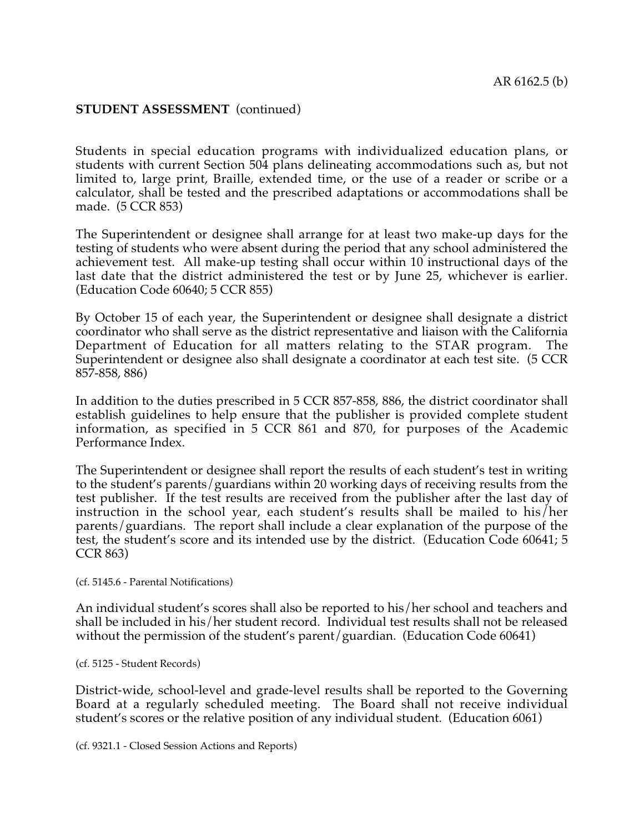Students in special education programs with individualized education plans, or students with current Section 504 plans delineating accommodations such as, but not limited to, large print, Braille, extended time, or the use of a reader or scribe or a calculator, shall be tested and the prescribed adaptations or accommodations shall be made. (5 CCR 853)

The Superintendent or designee shall arrange for at least two make-up days for the testing of students who were absent during the period that any school administered the achievement test. All make-up testing shall occur within 10 instructional days of the last date that the district administered the test or by June 25, whichever is earlier. (Education Code 60640; 5 CCR 855)

By October 15 of each year, the Superintendent or designee shall designate a district coordinator who shall serve as the district representative and liaison with the California Department of Education for all matters relating to the STAR program. The Superintendent or designee also shall designate a coordinator at each test site. (5 CCR 857-858, 886)

In addition to the duties prescribed in 5 CCR 857-858, 886, the district coordinator shall establish guidelines to help ensure that the publisher is provided complete student information, as specified in 5 CCR 861 and 870, for purposes of the Academic Performance Index.

The Superintendent or designee shall report the results of each student's test in writing to the student's parents/guardians within 20 working days of receiving results from the test publisher. If the test results are received from the publisher after the last day of instruction in the school year, each student's results shall be mailed to his/her parents/guardians. The report shall include a clear explanation of the purpose of the test, the student's score and its intended use by the district. (Education Code 60641; 5 CCR 863)

(cf. 5145.6 - Parental Notifications)

An individual student's scores shall also be reported to his/her school and teachers and shall be included in his/her student record. Individual test results shall not be released without the permission of the student's parent/guardian. (Education Code 60641)

(cf. 5125 - Student Records)

District-wide, school-level and grade-level results shall be reported to the Governing Board at a regularly scheduled meeting. The Board shall not receive individual student's scores or the relative position of any individual student. (Education 6061)

(cf. 9321.1 - Closed Session Actions and Reports)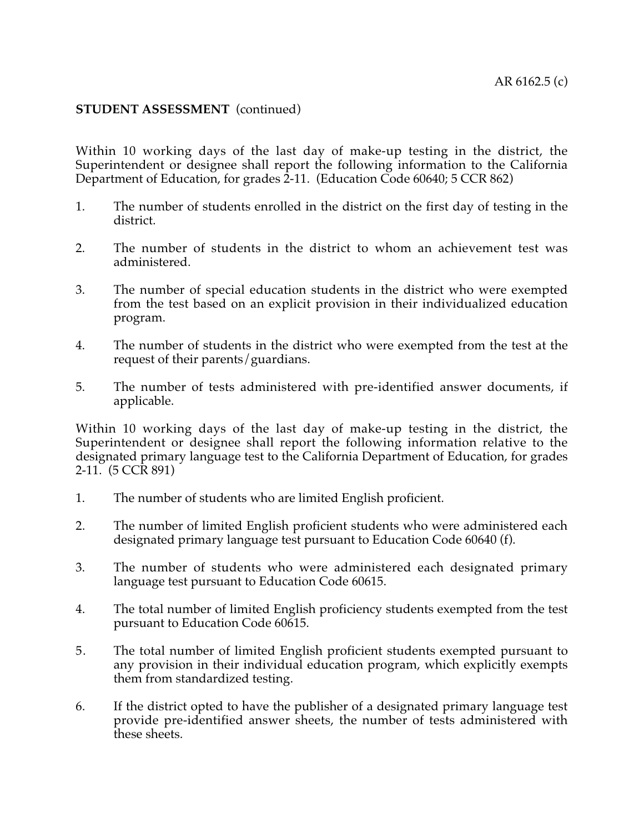Within 10 working days of the last day of make-up testing in the district, the Superintendent or designee shall report the following information to the California Department of Education, for grades 2-11. (Education Code 60640; 5 CCR 862)

- 1. The number of students enrolled in the district on the first day of testing in the district.
- 2. The number of students in the district to whom an achievement test was administered.
- 3. The number of special education students in the district who were exempted from the test based on an explicit provision in their individualized education program.
- 4. The number of students in the district who were exempted from the test at the request of their parents/guardians.
- 5. The number of tests administered with pre-identified answer documents, if applicable.

Within 10 working days of the last day of make-up testing in the district, the Superintendent or designee shall report the following information relative to the designated primary language test to the California Department of Education, for grades 2-11. (5 CCR 891)

- 1. The number of students who are limited English proficient.
- 2. The number of limited English proficient students who were administered each designated primary language test pursuant to Education Code 60640 (f).
- 3. The number of students who were administered each designated primary language test pursuant to Education Code 60615.
- 4. The total number of limited English proficiency students exempted from the test pursuant to Education Code 60615.
- 5. The total number of limited English proficient students exempted pursuant to any provision in their individual education program, which explicitly exempts them from standardized testing.
- 6. If the district opted to have the publisher of a designated primary language test provide pre-identified answer sheets, the number of tests administered with these sheets.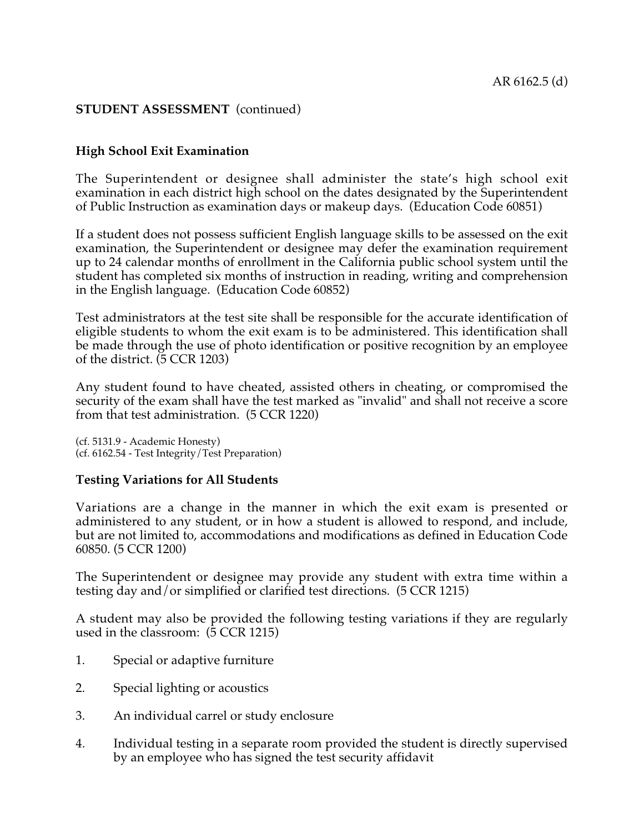# **High School Exit Examination**

The Superintendent or designee shall administer the state's high school exit examination in each district high school on the dates designated by the Superintendent of Public Instruction as examination days or makeup days. (Education Code 60851)

If a student does not possess sufficient English language skills to be assessed on the exit examination, the Superintendent or designee may defer the examination requirement up to 24 calendar months of enrollment in the California public school system until the student has completed six months of instruction in reading, writing and comprehension in the English language. (Education Code 60852)

Test administrators at the test site shall be responsible for the accurate identification of eligible students to whom the exit exam is to be administered. This identification shall be made through the use of photo identification or positive recognition by an employee of the district. (5 CCR 1203)

Any student found to have cheated, assisted others in cheating, or compromised the security of the exam shall have the test marked as "invalid" and shall not receive a score from that test administration. (5 CCR 1220)

(cf. 5131.9 - Academic Honesty) (cf. 6162.54 - Test Integrity/Test Preparation)

# **Testing Variations for All Students**

Variations are a change in the manner in which the exit exam is presented or administered to any student, or in how a student is allowed to respond, and include, but are not limited to, accommodations and modifications as defined in Education Code 60850. (5 CCR 1200)

The Superintendent or designee may provide any student with extra time within a testing day and/or simplified or clarified test directions. (5 CCR 1215)

A student may also be provided the following testing variations if they are regularly used in the classroom: (5 CCR 1215)

- 1. Special or adaptive furniture
- 2. Special lighting or acoustics
- 3. An individual carrel or study enclosure
- 4. Individual testing in a separate room provided the student is directly supervised by an employee who has signed the test security affidavit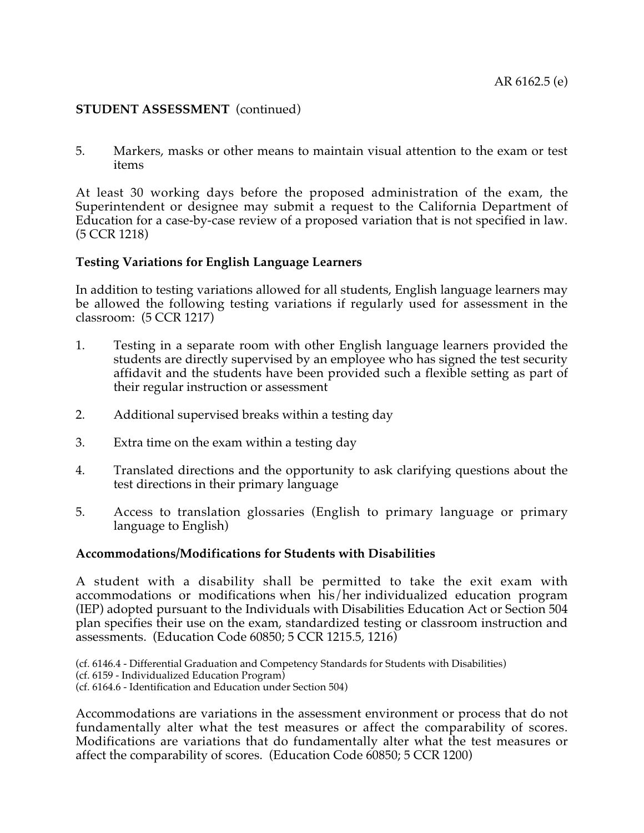5. Markers, masks or other means to maintain visual attention to the exam or test items

At least 30 working days before the proposed administration of the exam, the Superintendent or designee may submit a request to the California Department of Education for a case-by-case review of a proposed variation that is not specified in law. (5 CCR 1218)

# **Testing Variations for English Language Learners**

In addition to testing variations allowed for all students, English language learners may be allowed the following testing variations if regularly used for assessment in the classroom: (5 CCR 1217)

- 1. Testing in a separate room with other English language learners provided the students are directly supervised by an employee who has signed the test security affidavit and the students have been provided such a flexible setting as part of their regular instruction or assessment
- 2. Additional supervised breaks within a testing day
- 3. Extra time on the exam within a testing day
- 4. Translated directions and the opportunity to ask clarifying questions about the test directions in their primary language
- 5. Access to translation glossaries (English to primary language or primary language to English)

#### **Accommodations/Modifications for Students with Disabilities**

A student with a disability shall be permitted to take the exit exam with accommodations or modifications when his/her individualized education program (IEP) adopted pursuant to the Individuals with Disabilities Education Act or Section 504 plan specifies their use on the exam, standardized testing or classroom instruction and assessments. (Education Code 60850; 5 CCR 1215.5, 1216)

(cf. 6146.4 - Differential Graduation and Competency Standards for Students with Disabilities) (cf. 6159 - Individualized Education Program) (cf. 6164.6 - Identification and Education under Section 504)

Accommodations are variations in the assessment environment or process that do not fundamentally alter what the test measures or affect the comparability of scores. Modifications are variations that do fundamentally alter what the test measures or affect the comparability of scores. (Education Code 60850; 5 CCR 1200)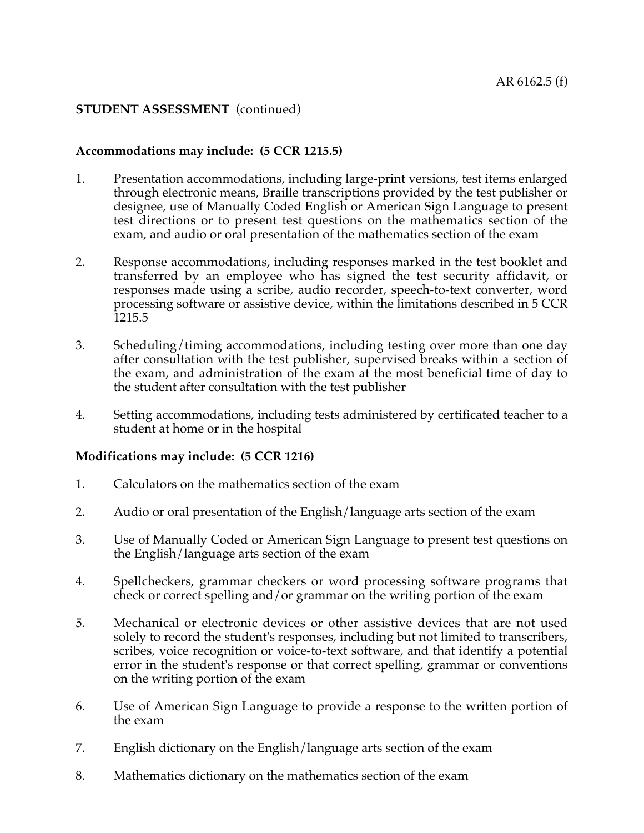# **Accommodations may include: (5 CCR 1215.5)**

- 1. Presentation accommodations, including large-print versions, test items enlarged through electronic means, Braille transcriptions provided by the test publisher or designee, use of Manually Coded English or American Sign Language to present test directions or to present test questions on the mathematics section of the exam, and audio or oral presentation of the mathematics section of the exam
- 2. Response accommodations, including responses marked in the test booklet and transferred by an employee who has signed the test security affidavit, or responses made using a scribe, audio recorder, speech-to-text converter, word processing software or assistive device, within the limitations described in 5 CCR 1215.5
- 3. Scheduling/timing accommodations, including testing over more than one day after consultation with the test publisher, supervised breaks within a section of the exam, and administration of the exam at the most beneficial time of day to the student after consultation with the test publisher
- 4. Setting accommodations, including tests administered by certificated teacher to a student at home or in the hospital

#### **Modifications may include: (5 CCR 1216)**

- 1. Calculators on the mathematics section of the exam
- 2. Audio or oral presentation of the English/language arts section of the exam
- 3. Use of Manually Coded or American Sign Language to present test questions on the English/language arts section of the exam
- 4. Spellcheckers, grammar checkers or word processing software programs that check or correct spelling and/or grammar on the writing portion of the exam
- 5. Mechanical or electronic devices or other assistive devices that are not used solely to record the student's responses, including but not limited to transcribers, scribes, voice recognition or voice-to-text software, and that identify a potential error in the student's response or that correct spelling, grammar or conventions on the writing portion of the exam
- 6. Use of American Sign Language to provide a response to the written portion of the exam
- 7. English dictionary on the English/language arts section of the exam
- 8. Mathematics dictionary on the mathematics section of the exam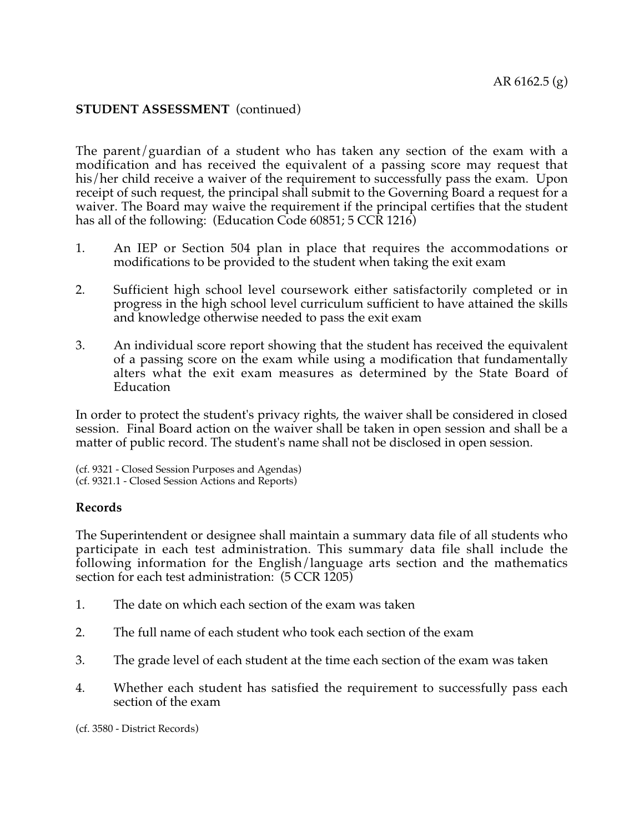The parent/guardian of a student who has taken any section of the exam with a modification and has received the equivalent of a passing score may request that his/her child receive a waiver of the requirement to successfully pass the exam. Upon receipt of such request, the principal shall submit to the Governing Board a request for a waiver. The Board may waive the requirement if the principal certifies that the student has all of the following: (Education Code 60851; 5 CCR 1216)

- 1. An IEP or Section 504 plan in place that requires the accommodations or modifications to be provided to the student when taking the exit exam
- 2. Sufficient high school level coursework either satisfactorily completed or in progress in the high school level curriculum sufficient to have attained the skills and knowledge otherwise needed to pass the exit exam
- 3. An individual score report showing that the student has received the equivalent of a passing score on the exam while using a modification that fundamentally alters what the exit exam measures as determined by the State Board of **Education**

In order to protect the student's privacy rights, the waiver shall be considered in closed session. Final Board action on the waiver shall be taken in open session and shall be a matter of public record. The student's name shall not be disclosed in open session.

(cf. 9321 - Closed Session Purposes and Agendas) (cf. 9321.1 - Closed Session Actions and Reports)

#### **Records**

The Superintendent or designee shall maintain a summary data file of all students who participate in each test administration. This summary data file shall include the following information for the English/language arts section and the mathematics section for each test administration: (5 CCR 1205)

- 1. The date on which each section of the exam was taken
- 2. The full name of each student who took each section of the exam
- 3. The grade level of each student at the time each section of the exam was taken
- 4. Whether each student has satisfied the requirement to successfully pass each section of the exam

(cf. 3580 - District Records)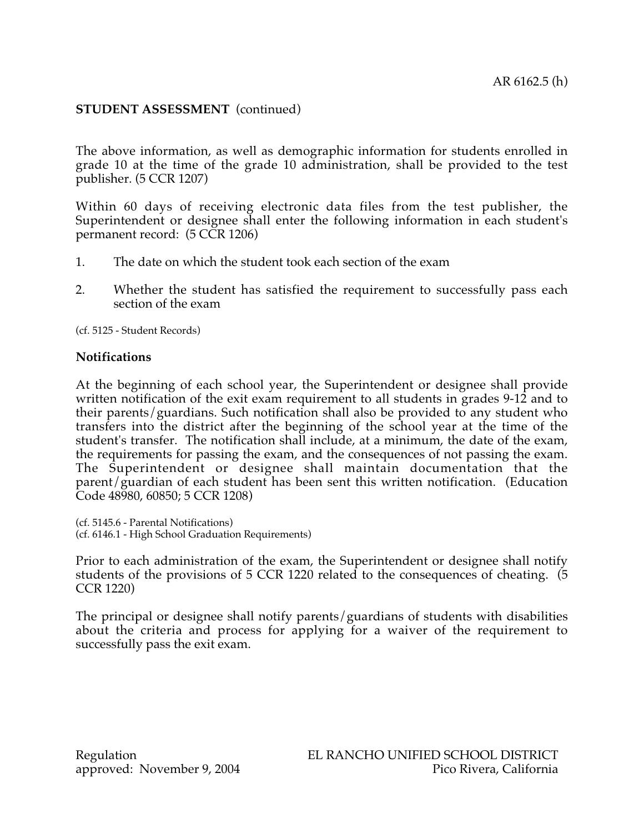The above information, as well as demographic information for students enrolled in grade 10 at the time of the grade 10 administration, shall be provided to the test publisher. (5 CCR 1207)

Within 60 days of receiving electronic data files from the test publisher, the Superintendent or designee shall enter the following information in each student's permanent record: (5 CCR 1206)

- 1. The date on which the student took each section of the exam
- 2. Whether the student has satisfied the requirement to successfully pass each section of the exam

(cf. 5125 - Student Records)

#### **Notifications**

At the beginning of each school year, the Superintendent or designee shall provide written notification of the exit exam requirement to all students in grades 9-12 and to their parents/guardians. Such notification shall also be provided to any student who transfers into the district after the beginning of the school year at the time of the student's transfer. The notification shall include, at a minimum, the date of the exam, the requirements for passing the exam, and the consequences of not passing the exam. The Superintendent or designee shall maintain documentation that the parent/guardian of each student has been sent this written notification. (Education Code 48980, 60850; 5 CCR 1208)

(cf. 5145.6 - Parental Notifications) (cf. 6146.1 - High School Graduation Requirements)

Prior to each administration of the exam, the Superintendent or designee shall notify students of the provisions of 5 CCR 1220 related to the consequences of cheating. (5 CCR 1220)

The principal or designee shall notify parents/guardians of students with disabilities about the criteria and process for applying for a waiver of the requirement to successfully pass the exit exam.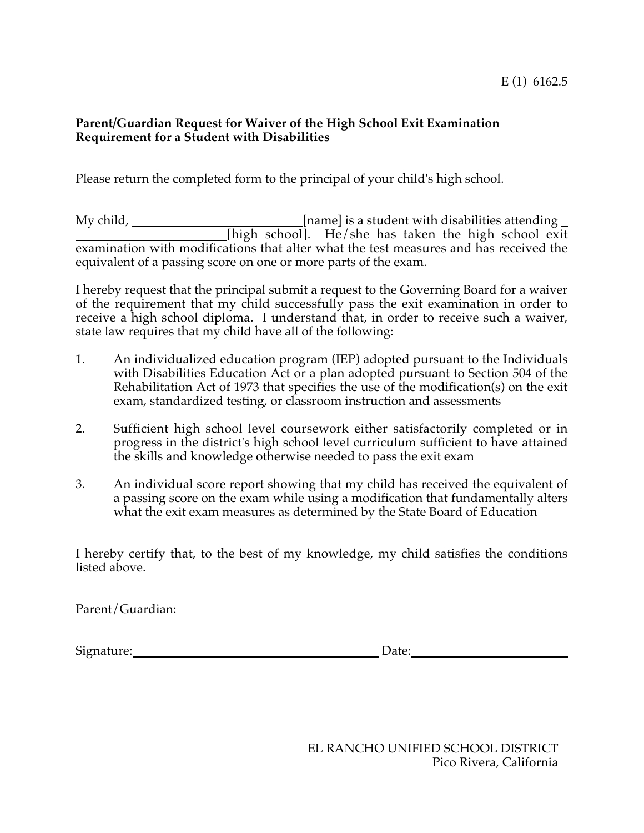# **Parent/Guardian Request for Waiver of the High School Exit Examination Requirement for a Student with Disabilities**

Please return the completed form to the principal of your child's high school.

My child, \_\_\_\_\_\_\_\_\_\_\_\_\_\_\_\_\_\_\_\_\_\_\_\_\_\_\_\_\_\_[name] is a student with disabilities attending \_ [high school]. He/she has taken the high school exit examination with modifications that alter what the test measures and has received the equivalent of a passing score on one or more parts of the exam.

I hereby request that the principal submit a request to the Governing Board for a waiver of the requirement that my child successfully pass the exit examination in order to receive a high school diploma. I understand that, in order to receive such a waiver, state law requires that my child have all of the following:

- 1. An individualized education program (IEP) adopted pursuant to the Individuals with Disabilities Education Act or a plan adopted pursuant to Section 504 of the Rehabilitation Act of 1973 that specifies the use of the modification(s) on the exit exam, standardized testing, or classroom instruction and assessments
- 2. Sufficient high school level coursework either satisfactorily completed or in progress in the district's high school level curriculum sufficient to have attained the skills and knowledge otherwise needed to pass the exit exam
- 3. An individual score report showing that my child has received the equivalent of a passing score on the exam while using a modification that fundamentally alters what the exit exam measures as determined by the State Board of Education

I hereby certify that, to the best of my knowledge, my child satisfies the conditions listed above.

Parent/Guardian:

Signature: Date:

EL RANCHO UNIFIED SCHOOL DISTRICT Pico Rivera, California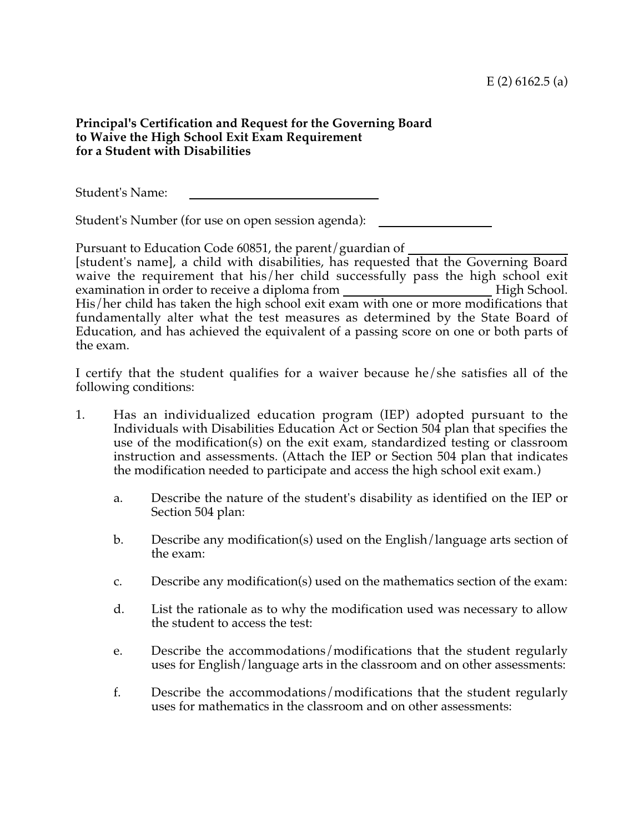# **Principal's Certification and Request for the Governing Board to Waive the High School Exit Exam Requirement for a Student with Disabilities**

Student's Name:

Student's Number (for use on open session agenda):

Pursuant to Education Code 60851, the parent/guardian of [student's name], a child with disabilities, has requested that the Governing Board waive the requirement that his/her child successfully pass the high school exit examination in order to receive a diploma from the state of High School. His/her child has taken the high school exit exam with one or more modifications that fundamentally alter what the test measures as determined by the State Board of Education, and has achieved the equivalent of a passing score on one or both parts of the exam.

I certify that the student qualifies for a waiver because he/she satisfies all of the following conditions:

- 1. Has an individualized education program (IEP) adopted pursuant to the Individuals with Disabilities Education Act or Section 504 plan that specifies the use of the modification(s) on the exit exam, standardized testing or classroom instruction and assessments. (Attach the IEP or Section 504 plan that indicates the modification needed to participate and access the high school exit exam.)
	- a. Describe the nature of the student's disability as identified on the IEP or Section 504 plan:
	- b. Describe any modification(s) used on the English/language arts section of the exam:
	- c. Describe any modification(s) used on the mathematics section of the exam:
	- d. List the rationale as to why the modification used was necessary to allow the student to access the test:
	- e. Describe the accommodations/modifications that the student regularly uses for English/language arts in the classroom and on other assessments:
	- f. Describe the accommodations/modifications that the student regularly uses for mathematics in the classroom and on other assessments: